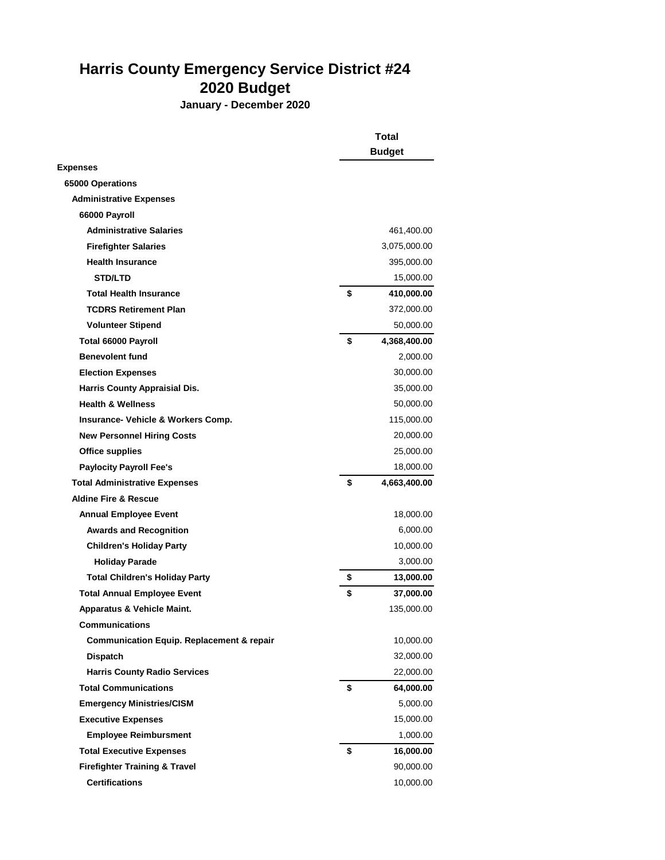## **Harris County Emergency Service District #24 2020 Budget**

**January - December 2020**

|                                                      | Total              |  |
|------------------------------------------------------|--------------------|--|
|                                                      | <b>Budget</b>      |  |
| <b>Expenses</b>                                      |                    |  |
| 65000 Operations                                     |                    |  |
| <b>Administrative Expenses</b>                       |                    |  |
| 66000 Payroll                                        |                    |  |
| <b>Administrative Salaries</b>                       | 461,400.00         |  |
| <b>Firefighter Salaries</b>                          | 3,075,000.00       |  |
| <b>Health Insurance</b>                              | 395,000.00         |  |
| <b>STD/LTD</b>                                       | 15,000.00          |  |
| <b>Total Health Insurance</b>                        | \$<br>410,000.00   |  |
| <b>TCDRS Retirement Plan</b>                         | 372,000.00         |  |
| <b>Volunteer Stipend</b>                             | 50,000.00          |  |
| Total 66000 Payroll                                  | \$<br>4,368,400.00 |  |
| <b>Benevolent fund</b>                               | 2,000.00           |  |
| <b>Election Expenses</b>                             | 30,000.00          |  |
| <b>Harris County Appraisial Dis.</b>                 | 35,000.00          |  |
| <b>Health &amp; Wellness</b>                         | 50,000.00          |  |
| Insurance- Vehicle & Workers Comp.                   | 115,000.00         |  |
| <b>New Personnel Hiring Costs</b>                    | 20,000.00          |  |
| <b>Office supplies</b>                               | 25,000.00          |  |
| <b>Paylocity Payroll Fee's</b>                       | 18,000.00          |  |
| <b>Total Administrative Expenses</b>                 | \$<br>4,663,400.00 |  |
| <b>Aldine Fire &amp; Rescue</b>                      |                    |  |
| <b>Annual Employee Event</b>                         | 18,000.00          |  |
| <b>Awards and Recognition</b>                        | 6,000.00           |  |
| <b>Children's Holiday Party</b>                      | 10,000.00          |  |
| <b>Holiday Parade</b>                                | 3,000.00           |  |
| <b>Total Children's Holiday Party</b>                | \$<br>13,000.00    |  |
| <b>Total Annual Employee Event</b>                   | \$<br>37,000.00    |  |
| Apparatus & Vehicle Maint.                           | 135,000.00         |  |
| <b>Communications</b>                                |                    |  |
| <b>Communication Equip. Replacement &amp; repair</b> | 10,000.00          |  |
| <b>Dispatch</b>                                      | 32,000.00          |  |
| <b>Harris County Radio Services</b>                  | 22,000.00          |  |
| <b>Total Communications</b>                          | \$<br>64,000.00    |  |
| <b>Emergency Ministries/CISM</b>                     | 5,000.00           |  |
| <b>Executive Expenses</b>                            | 15,000.00          |  |
| <b>Employee Reimbursment</b>                         | 1,000.00           |  |
| <b>Total Executive Expenses</b>                      | \$<br>16,000.00    |  |
| <b>Firefighter Training &amp; Travel</b>             | 90,000.00          |  |
| <b>Certifications</b>                                | 10,000.00          |  |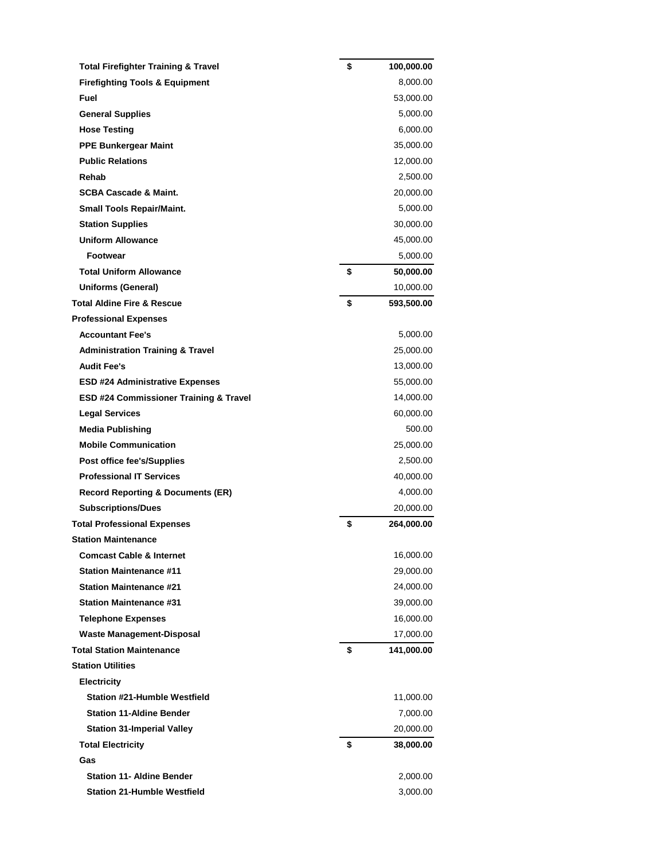| <b>Total Firefighter Training &amp; Travel</b> | \$<br>100,000.00 |
|------------------------------------------------|------------------|
| <b>Firefighting Tools &amp; Equipment</b>      | 8,000.00         |
| Fuel                                           | 53,000.00        |
| <b>General Supplies</b>                        | 5,000.00         |
| <b>Hose Testing</b>                            | 6,000.00         |
| <b>PPE Bunkergear Maint</b>                    | 35,000.00        |
| <b>Public Relations</b>                        | 12,000.00        |
| Rehab                                          | 2,500.00         |
| <b>SCBA Cascade &amp; Maint.</b>               | 20,000.00        |
| <b>Small Tools Repair/Maint.</b>               | 5,000.00         |
| <b>Station Supplies</b>                        | 30,000.00        |
| <b>Uniform Allowance</b>                       | 45,000.00        |
| <b>Footwear</b>                                | 5,000.00         |
| <b>Total Uniform Allowance</b>                 | \$<br>50,000.00  |
| <b>Uniforms (General)</b>                      | 10,000.00        |
| <b>Total Aldine Fire &amp; Rescue</b>          | \$<br>593,500.00 |
| <b>Professional Expenses</b>                   |                  |
| <b>Accountant Fee's</b>                        | 5,000.00         |
| <b>Administration Training &amp; Travel</b>    | 25,000.00        |
| <b>Audit Fee's</b>                             | 13,000.00        |
| <b>ESD #24 Administrative Expenses</b>         | 55,000.00        |
| ESD #24 Commissioner Training & Travel         | 14,000.00        |
| <b>Legal Services</b>                          | 60,000.00        |
| <b>Media Publishing</b>                        | 500.00           |
| <b>Mobile Communication</b>                    | 25,000.00        |
| Post office fee's/Supplies                     | 2,500.00         |
| <b>Professional IT Services</b>                | 40,000.00        |
| <b>Record Reporting &amp; Documents (ER)</b>   | 4,000.00         |
| <b>Subscriptions/Dues</b>                      | 20,000.00        |
| <b>Total Professional Expenses</b>             | \$<br>264,000.00 |
| <b>Station Maintenance</b>                     |                  |
| <b>Comcast Cable &amp; Internet</b>            | 16,000.00        |
| <b>Station Maintenance #11</b>                 | 29,000.00        |
| <b>Station Maintenance #21</b>                 | 24,000.00        |
| <b>Station Maintenance #31</b>                 | 39,000.00        |
| <b>Telephone Expenses</b>                      | 16,000.00        |
| <b>Waste Management-Disposal</b>               | 17,000.00        |
| <b>Total Station Maintenance</b>               | \$<br>141,000.00 |
| <b>Station Utilities</b>                       |                  |
| <b>Electricity</b>                             |                  |
| <b>Station #21-Humble Westfield</b>            | 11,000.00        |
| <b>Station 11-Aldine Bender</b>                | 7,000.00         |
| <b>Station 31-Imperial Valley</b>              | 20,000.00        |
| <b>Total Electricity</b>                       | \$<br>38,000.00  |
| Gas                                            |                  |
| <b>Station 11- Aldine Bender</b>               | 2,000.00         |
| <b>Station 21-Humble Westfield</b>             | 3,000.00         |